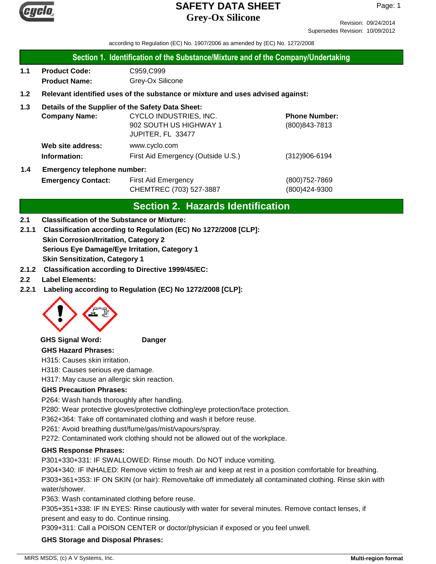

Revision: 09/24/2014 Supersedes Revision: 10/09/2012

according to Regulation (EC) No. 1907/2006 as amended by (EC) No. 1272/2008

#### **Section 1. Identification of the Substance/Mixture and of the Company/Undertaking**

**1.1 Product Code:** C959,C999 **Product Name:** Grey-Ox Silicone

#### **1.2 Relevant identified uses of the substance or mixture and uses advised against:**

#### **1.3 Details of the Supplier of the Safety Data Sheet:**

|                                           | <b>Company Name:</b> | CYCLO INDUSTRIES, INC.             | <b>Phone Number:</b> |
|-------------------------------------------|----------------------|------------------------------------|----------------------|
|                                           |                      | 902 SOUTH US HIGHWAY 1             | $(800)843 - 7813$    |
|                                           |                      | JUPITER, FL 33477                  |                      |
|                                           | Web site address:    | www.cyclo.com                      |                      |
|                                           | Information:         | First Aid Emergency (Outside U.S.) | $(312)906 - 6194$    |
| <b>Emergency telephone number:</b><br>1.4 |                      |                                    |                      |

# **Emergency Contact:** First Aid Emergency **Emergency** (800)752-7869 CHEMTREC (703) 527-3887 (800)424-9300

# **Section 2. Hazards Identification**

#### **2.1 Classification of the Substance or Mixture:**

- **Skin Corrosion/Irritation, Category 2 Serious Eye Damage/Eye Irritation, Category 1 Skin Sensitization, Category 1 2.1.1 Classification according to Regulation (EC) No 1272/2008 [CLP]:**
- **2.1.2 Classification according to Directive 1999/45/EC:**
- **2.2 Label Elements:**
- **2.2.1 Labeling according to Regulation (EC) No 1272/2008 [CLP]:**



#### **GHS Signal Word: Danger**

#### **GHS Hazard Phrases:**

H315: Causes skin irritation.

H318: Causes serious eye damage.

H317: May cause an allergic skin reaction.

#### **GHS Precaution Phrases:**

P264: Wash hands thoroughly after handling.

P280: Wear protective gloves/protective clothing/eye protection/face protection.

P362+364: Take off contaminated clothing and wash it before reuse.

P261: Avoid breathing dust/fume/gas/mist/vapours/spray.

P272: Contaminated work clothing should not be allowed out of the workplace.

#### **GHS Response Phrases:**

P301+330+331: IF SWALLOWED: Rinse mouth. Do NOT induce vomiting.

P304+340: IF INHALED: Remove victim to fresh air and keep at rest in a position comfortable for breathing. P303+361+353: IF ON SKIN (or hair): Remove/take off immediately all contaminated clothing. Rinse skin with water/shower.

P363: Wash contaminated clothing before reuse.

P305+351+338: IF IN EYES: Rinse cautiously with water for several minutes. Remove contact lenses, if present and easy to do. Continue rinsing.

P309+311: Call a POISON CENTER or doctor/physician if exposed or you feel unwell.

#### **GHS Storage and Disposal Phrases:**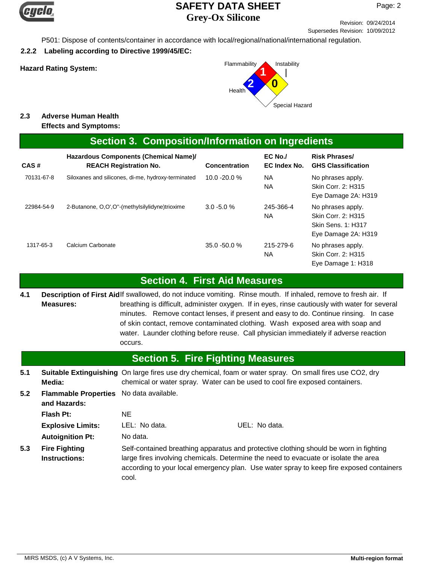

Revision: 09/24/2014 Supersedes Revision: 10/09/2012

P501: Dispose of contents/container in accordance with local/regional/national/international regulation.

**2.2.2 Labeling according to Directive 1999/45/EC:**



## **2.3 Adverse Human Health**

**Effects and Symptoms:**

## **Section 3. Composition/Information on Ingredients**

| CAS#       | Hazardous Components (Chemical Name)/<br><b>REACH Registration No.</b> | <b>Concentration</b> | $EC$ No./<br>EC Index No. | <b>Risk Phrases/</b><br><b>GHS Classification</b>                                    |
|------------|------------------------------------------------------------------------|----------------------|---------------------------|--------------------------------------------------------------------------------------|
| 70131-67-8 | Siloxanes and silicones, di-me, hydroxy-terminated                     | $10.0 - 20.0 %$      | NА<br><b>NA</b>           | No phrases apply.<br>Skin Corr. 2: H315<br>Eye Damage 2A: H319                       |
| 22984-54-9 | 2-Butanone, O.O', O"-(methylsilylidyne)trioxime                        | $3.0 - 5.0 %$        | 245-366-4<br>NА           | No phrases apply.<br>Skin Corr. 2: H315<br>Skin Sens. 1: H317<br>Eye Damage 2A: H319 |
| 1317-65-3  | Calcium Carbonate                                                      | $35.0 - 50.0 %$      | 215-279-6<br>NA           | No phrases apply.<br>Skin Corr. 2: H315<br>Eye Damage 1: H318                        |

## **Section 4. First Aid Measures**

Description of First Aidlf swallowed, do not induce vomiting. Rinse mouth. If inhaled, remove to fresh air. If breathing is difficult, administer oxygen. If in eyes, rinse cautiously with water for several minutes. Remove contact lenses, if present and easy to do. Continue rinsing. In case of skin contact, remove contaminated clothing. Wash exposed area with soap and water. Launder clothing before reuse. Call physician immediately if adverse reaction occurs. **Measures: 4.1**

#### **5.1 5.2 Section 5. Fire Fighting Measures Flash Pt:** NE Self-contained breathing apparatus and protective clothing should be worn in fighting large fires involving chemicals. Determine the need to evacuate or isolate the area according to your local emergency plan. Use water spray to keep fire exposed containers cool. **Fire Fighting Instructions: Autoignition Pt:** No data. **Explosive Limits:** LEL: No data. UEL: No data. Suitable Extinguishing On large fires use dry chemical, foam or water spray. On small fires use CO2, dry chemical or water spray. Water can be used to cool fire exposed containers. **Media: Flammable Properties** No data available. **and Hazards: 5.3**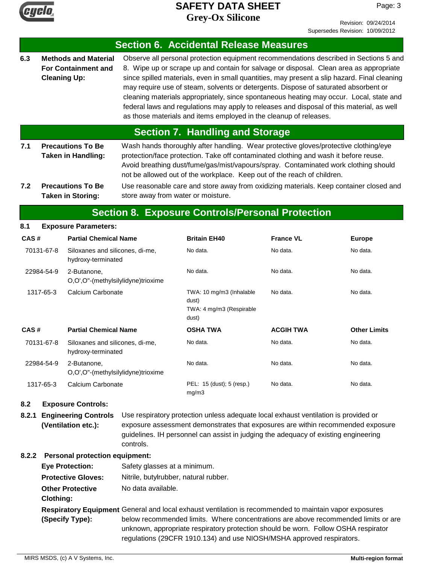

Page: 3

|                                                                                                 |                                                                                  |                                                                                                                                                                                                                                                                                                                                                                                                                                          |                                                                                                                                                                                                                                                                                                                                                                                                                                                                                                                                                                                                                                     |                                                                                                                                                                        |                  | Ouperseues INGVISION. TO/OS/ZOTZ |  |  |  |
|-------------------------------------------------------------------------------------------------|----------------------------------------------------------------------------------|------------------------------------------------------------------------------------------------------------------------------------------------------------------------------------------------------------------------------------------------------------------------------------------------------------------------------------------------------------------------------------------------------------------------------------------|-------------------------------------------------------------------------------------------------------------------------------------------------------------------------------------------------------------------------------------------------------------------------------------------------------------------------------------------------------------------------------------------------------------------------------------------------------------------------------------------------------------------------------------------------------------------------------------------------------------------------------------|------------------------------------------------------------------------------------------------------------------------------------------------------------------------|------------------|----------------------------------|--|--|--|
|                                                                                                 |                                                                                  |                                                                                                                                                                                                                                                                                                                                                                                                                                          |                                                                                                                                                                                                                                                                                                                                                                                                                                                                                                                                                                                                                                     | <b>Section 6. Accidental Release Measures</b>                                                                                                                          |                  |                                  |  |  |  |
| 6.3                                                                                             | <b>Methods and Material</b><br><b>For Containment and</b><br><b>Cleaning Up:</b> |                                                                                                                                                                                                                                                                                                                                                                                                                                          | Observe all personal protection equipment recommendations described in Sections 5 and<br>8. Wipe up or scrape up and contain for salvage or disposal. Clean area as appropriate<br>since spilled materials, even in small quantities, may present a slip hazard. Final cleaning<br>may require use of steam, solvents or detergents. Dispose of saturated absorbent or<br>cleaning materials appropriately, since spontaneous heating may occur. Local, state and<br>federal laws and regulations may apply to releases and disposal of this material, as well<br>as those materials and items employed in the cleanup of releases. |                                                                                                                                                                        |                  |                                  |  |  |  |
|                                                                                                 |                                                                                  |                                                                                                                                                                                                                                                                                                                                                                                                                                          |                                                                                                                                                                                                                                                                                                                                                                                                                                                                                                                                                                                                                                     | <b>Section 7. Handling and Storage</b>                                                                                                                                 |                  |                                  |  |  |  |
| 7.1<br><b>Precautions To Be</b><br><b>Taken in Handling:</b><br><b>Precautions To Be</b><br>7.2 |                                                                                  | Wash hands thoroughly after handling. Wear protective gloves/protective clothing/eye<br>protection/face protection. Take off contaminated clothing and wash it before reuse.<br>Avoid breathing dust/fume/gas/mist/vapours/spray. Contaminated work clothing should<br>not be allowed out of the workplace. Keep out of the reach of children.<br>Use reasonable care and store away from oxidizing materials. Keep container closed and |                                                                                                                                                                                                                                                                                                                                                                                                                                                                                                                                                                                                                                     |                                                                                                                                                                        |                  |                                  |  |  |  |
|                                                                                                 |                                                                                  | <b>Taken in Storing:</b>                                                                                                                                                                                                                                                                                                                                                                                                                 |                                                                                                                                                                                                                                                                                                                                                                                                                                                                                                                                                                                                                                     | store away from water or moisture.                                                                                                                                     |                  |                                  |  |  |  |
|                                                                                                 |                                                                                  |                                                                                                                                                                                                                                                                                                                                                                                                                                          |                                                                                                                                                                                                                                                                                                                                                                                                                                                                                                                                                                                                                                     | <b>Section 8. Exposure Controls/Personal Protection</b>                                                                                                                |                  |                                  |  |  |  |
| 8.1                                                                                             |                                                                                  | <b>Exposure Parameters:</b>                                                                                                                                                                                                                                                                                                                                                                                                              |                                                                                                                                                                                                                                                                                                                                                                                                                                                                                                                                                                                                                                     |                                                                                                                                                                        |                  |                                  |  |  |  |
| CAS#                                                                                            |                                                                                  | <b>Partial Chemical Name</b>                                                                                                                                                                                                                                                                                                                                                                                                             |                                                                                                                                                                                                                                                                                                                                                                                                                                                                                                                                                                                                                                     | <b>Britain EH40</b>                                                                                                                                                    | <b>France VL</b> | <b>Europe</b>                    |  |  |  |
|                                                                                                 | 70131-67-8                                                                       | Siloxanes and silicones, di-me,<br>hydroxy-terminated                                                                                                                                                                                                                                                                                                                                                                                    |                                                                                                                                                                                                                                                                                                                                                                                                                                                                                                                                                                                                                                     | No data.                                                                                                                                                               | No data.         | No data.                         |  |  |  |
| 22984-54-9                                                                                      |                                                                                  | 2-Butanone,<br>O,O',O"-(methylsilylidyne)trioxime                                                                                                                                                                                                                                                                                                                                                                                        |                                                                                                                                                                                                                                                                                                                                                                                                                                                                                                                                                                                                                                     | No data.                                                                                                                                                               | No data.         | No data.                         |  |  |  |
| 1317-65-3                                                                                       |                                                                                  | Calcium Carbonate                                                                                                                                                                                                                                                                                                                                                                                                                        |                                                                                                                                                                                                                                                                                                                                                                                                                                                                                                                                                                                                                                     | TWA: 10 mg/m3 (Inhalable<br>dust)<br>TWA: 4 mg/m3 (Respirable<br>dust)                                                                                                 | No data.         | No data.                         |  |  |  |
| CAS#                                                                                            |                                                                                  | <b>Partial Chemical Name</b>                                                                                                                                                                                                                                                                                                                                                                                                             |                                                                                                                                                                                                                                                                                                                                                                                                                                                                                                                                                                                                                                     | OSHA TWA                                                                                                                                                               | <b>ACGIH TWA</b> | <b>Other Limits</b>              |  |  |  |
| 70131-67-8                                                                                      |                                                                                  | Siloxanes and silicones, di-me,<br>hydroxy-terminated                                                                                                                                                                                                                                                                                                                                                                                    |                                                                                                                                                                                                                                                                                                                                                                                                                                                                                                                                                                                                                                     | No data.                                                                                                                                                               | No data.         | No data.                         |  |  |  |
| 22984-54-9                                                                                      |                                                                                  | 2-Butanone,<br>O,O',O"-(methylsilylidyne)trioxime                                                                                                                                                                                                                                                                                                                                                                                        |                                                                                                                                                                                                                                                                                                                                                                                                                                                                                                                                                                                                                                     | No data.                                                                                                                                                               | No data.         | No data.                         |  |  |  |
|                                                                                                 | 1317-65-3                                                                        | Calcium Carbonate                                                                                                                                                                                                                                                                                                                                                                                                                        |                                                                                                                                                                                                                                                                                                                                                                                                                                                                                                                                                                                                                                     | PEL: 15 (dust); 5 (resp.)<br>mg/m3                                                                                                                                     | No data.         | No data.                         |  |  |  |
| 8.2                                                                                             |                                                                                  | <b>Exposure Controls:</b>                                                                                                                                                                                                                                                                                                                                                                                                                |                                                                                                                                                                                                                                                                                                                                                                                                                                                                                                                                                                                                                                     |                                                                                                                                                                        |                  |                                  |  |  |  |
| 8.2.1<br><b>Engineering Controls</b><br>(Ventilation etc.):                                     |                                                                                  |                                                                                                                                                                                                                                                                                                                                                                                                                                          |                                                                                                                                                                                                                                                                                                                                                                                                                                                                                                                                                                                                                                     | Use respiratory protection unless adequate local exhaust ventilation is provided or<br>exposure assessment demonstrates that exposures are within recommended exposure |                  |                                  |  |  |  |

guidelines. IH personnel can assist in judging the adequacy of existing engineering controls.

regulations (29CFR 1910.134) and use NIOSH/MSHA approved respirators.

#### **8.2.2 Personal protection equipment:**

| <b>Eye Protection:</b>    | Safety glasses at a minimum.                                                                           |
|---------------------------|--------------------------------------------------------------------------------------------------------|
| <b>Protective Gloves:</b> | Nitrile, butylrubber, natural rubber.                                                                  |
| <b>Other Protective</b>   | No data available.                                                                                     |
| <b>Clothing:</b>          |                                                                                                        |
|                           | Respiratory Equipment General and local exhaust ventilation is recommended to maintain vapor exposures |
| (Specify Type):           | below recommended limits. Where concentrations are above recommended limits or are                     |
|                           | unknown, appropriate respiratory protection should be worn. Follow OSHA respirator                     |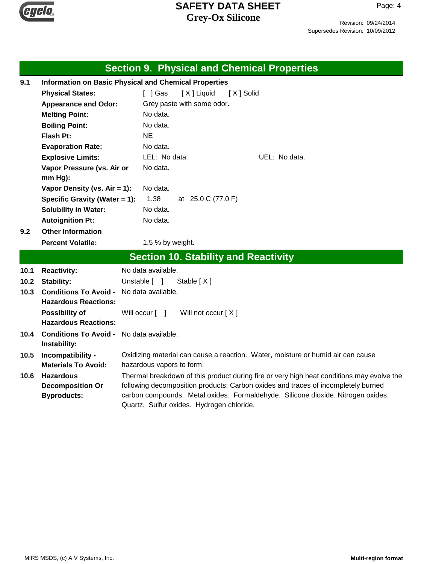

Page: 4

|      | <b>Section 9. Physical and Chemical Properties</b>           |                                                                                                                                                                       |  |  |  |
|------|--------------------------------------------------------------|-----------------------------------------------------------------------------------------------------------------------------------------------------------------------|--|--|--|
| 9.1  | <b>Information on Basic Physical and Chemical Properties</b> |                                                                                                                                                                       |  |  |  |
|      | <b>Physical States:</b>                                      | [ ] Gas<br>[X] Liquid<br>[X] Solid                                                                                                                                    |  |  |  |
|      | <b>Appearance and Odor:</b>                                  | Grey paste with some odor.                                                                                                                                            |  |  |  |
|      | <b>Melting Point:</b>                                        | No data.                                                                                                                                                              |  |  |  |
|      | No data.<br><b>Boiling Point:</b>                            |                                                                                                                                                                       |  |  |  |
|      | Flash Pt:                                                    | <b>NE</b>                                                                                                                                                             |  |  |  |
|      | <b>Evaporation Rate:</b>                                     | No data.                                                                                                                                                              |  |  |  |
|      | <b>Explosive Limits:</b>                                     | LEL: No data.<br>UEL: No data.                                                                                                                                        |  |  |  |
|      | Vapor Pressure (vs. Air or                                   | No data.                                                                                                                                                              |  |  |  |
|      | mm Hg):                                                      |                                                                                                                                                                       |  |  |  |
|      | Vapor Density (vs. Air = 1):                                 | No data.                                                                                                                                                              |  |  |  |
|      | Specific Gravity (Water = 1):                                | 1.38<br>at 25.0 C (77.0 F)                                                                                                                                            |  |  |  |
|      | <b>Solubility in Water:</b>                                  | No data.                                                                                                                                                              |  |  |  |
|      | <b>Autoignition Pt:</b>                                      | No data.                                                                                                                                                              |  |  |  |
| 9.2  | <b>Other Information</b>                                     |                                                                                                                                                                       |  |  |  |
|      | <b>Percent Volatile:</b>                                     | 1.5 % by weight.                                                                                                                                                      |  |  |  |
|      | <b>Section 10. Stability and Reactivity</b>                  |                                                                                                                                                                       |  |  |  |
| 10.1 | <b>Reactivity:</b>                                           | No data available.                                                                                                                                                    |  |  |  |
| 10.2 | Stability:                                                   | Unstable [ ]<br>Stable [X]                                                                                                                                            |  |  |  |
| 10.3 | <b>Conditions To Avoid -</b>                                 | No data available.                                                                                                                                                    |  |  |  |
|      | <b>Hazardous Reactions:</b>                                  |                                                                                                                                                                       |  |  |  |
|      | <b>Possibility of</b>                                        | Will occur [ ]<br>Will not occur $[X]$                                                                                                                                |  |  |  |
|      | <b>Hazardous Reactions:</b>                                  |                                                                                                                                                                       |  |  |  |
| 10.4 | Conditions To Avoid - No data available.<br>Instability:     |                                                                                                                                                                       |  |  |  |
| 10.5 | Incompatibility -                                            | Oxidizing material can cause a reaction. Water, moisture or humid air can cause                                                                                       |  |  |  |
|      | <b>Materials To Avoid:</b>                                   | hazardous vapors to form.                                                                                                                                             |  |  |  |
| 10.6 | <b>Hazardous</b>                                             | Thermal breakdown of this product during fire or very high heat conditions may evolve the                                                                             |  |  |  |
|      | <b>Decomposition Or</b><br><b>Byproducts:</b>                | following decomposition products: Carbon oxides and traces of incompletely burned<br>carbon compounds. Metal oxides. Formaldehyde. Silicone dioxide. Nitrogen oxides. |  |  |  |
|      |                                                              | Quartz. Sulfur oxides. Hydrogen chloride.                                                                                                                             |  |  |  |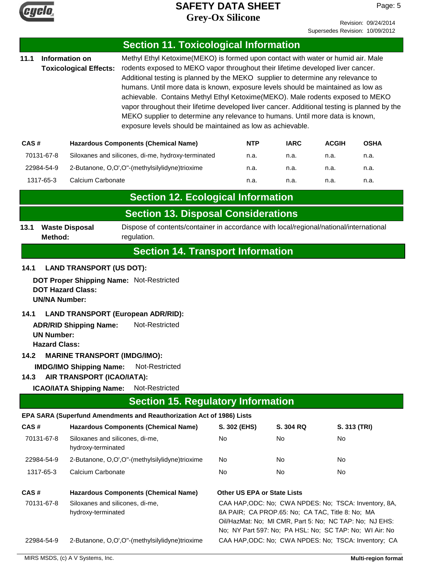

Page: 5

| 11.1                                                                                                                                                                                                                                                                                                                                                                                                                                                                                                                                                                                                                                                                                                                                                                            |                                                                   |                                                                                                                                                                                                     |                                                                                                                                                                                          |                                                                                                                                                                                                                                                                                         |             |              |              |
|---------------------------------------------------------------------------------------------------------------------------------------------------------------------------------------------------------------------------------------------------------------------------------------------------------------------------------------------------------------------------------------------------------------------------------------------------------------------------------------------------------------------------------------------------------------------------------------------------------------------------------------------------------------------------------------------------------------------------------------------------------------------------------|-------------------------------------------------------------------|-----------------------------------------------------------------------------------------------------------------------------------------------------------------------------------------------------|------------------------------------------------------------------------------------------------------------------------------------------------------------------------------------------|-----------------------------------------------------------------------------------------------------------------------------------------------------------------------------------------------------------------------------------------------------------------------------------------|-------------|--------------|--------------|
| <b>Section 11. Toxicological Information</b><br>Information on<br>Methyl Ethyl Ketoxime(MEKO) is formed upon contact with water or humid air. Male<br><b>Toxicological Effects:</b><br>rodents exposed to MEKO vapor throughout their lifetime developed liver cancer.<br>Additional testing is planned by the MEKO supplier to determine any relevance to<br>humans. Until more data is known, exposure levels should be maintained as low as<br>achievable. Contains Methyl Ethyl Ketoxime(MEKO). Male rodents exposed to MEKO<br>vapor throughout their lifetime developed liver cancer. Additional testing is planned by the<br>MEKO supplier to determine any relevance to humans. Until more data is known,<br>exposure levels should be maintained as low as achievable. |                                                                   |                                                                                                                                                                                                     |                                                                                                                                                                                          |                                                                                                                                                                                                                                                                                         |             |              |              |
| CAS#                                                                                                                                                                                                                                                                                                                                                                                                                                                                                                                                                                                                                                                                                                                                                                            |                                                                   |                                                                                                                                                                                                     | <b>Hazardous Components (Chemical Name)</b>                                                                                                                                              | <b>NTP</b>                                                                                                                                                                                                                                                                              | <b>IARC</b> | <b>ACGIH</b> | <b>OSHA</b>  |
|                                                                                                                                                                                                                                                                                                                                                                                                                                                                                                                                                                                                                                                                                                                                                                                 | 70131-67-8                                                        |                                                                                                                                                                                                     | Siloxanes and silicones, di-me, hydroxy-terminated                                                                                                                                       | n.a.                                                                                                                                                                                                                                                                                    | n.a.        | n.a.         | n.a.         |
|                                                                                                                                                                                                                                                                                                                                                                                                                                                                                                                                                                                                                                                                                                                                                                                 | 22984-54-9                                                        |                                                                                                                                                                                                     | 2-Butanone, O,O',O"-(methylsilylidyne)trioxime                                                                                                                                           | n.a.                                                                                                                                                                                                                                                                                    | n.a.        | n.a.         | n.a.         |
|                                                                                                                                                                                                                                                                                                                                                                                                                                                                                                                                                                                                                                                                                                                                                                                 | 1317-65-3                                                         | Calcium Carbonate                                                                                                                                                                                   |                                                                                                                                                                                          | n.a.                                                                                                                                                                                                                                                                                    | n.a.        | n.a.         | n.a.         |
|                                                                                                                                                                                                                                                                                                                                                                                                                                                                                                                                                                                                                                                                                                                                                                                 |                                                                   |                                                                                                                                                                                                     | <b>Section 12. Ecological Information</b>                                                                                                                                                |                                                                                                                                                                                                                                                                                         |             |              |              |
|                                                                                                                                                                                                                                                                                                                                                                                                                                                                                                                                                                                                                                                                                                                                                                                 |                                                                   |                                                                                                                                                                                                     | <b>Section 13. Disposal Considerations</b>                                                                                                                                               |                                                                                                                                                                                                                                                                                         |             |              |              |
| 13.1                                                                                                                                                                                                                                                                                                                                                                                                                                                                                                                                                                                                                                                                                                                                                                            | Method:                                                           | <b>Waste Disposal</b>                                                                                                                                                                               | Dispose of contents/container in accordance with local/regional/national/international<br>regulation.                                                                                    |                                                                                                                                                                                                                                                                                         |             |              |              |
|                                                                                                                                                                                                                                                                                                                                                                                                                                                                                                                                                                                                                                                                                                                                                                                 |                                                                   |                                                                                                                                                                                                     | <b>Section 14. Transport Information</b>                                                                                                                                                 |                                                                                                                                                                                                                                                                                         |             |              |              |
| 14.1<br>14.2<br>14.3                                                                                                                                                                                                                                                                                                                                                                                                                                                                                                                                                                                                                                                                                                                                                            | <b>UN/NA Number:</b><br><b>UN Number:</b><br><b>Hazard Class:</b> | <b>DOT Hazard Class:</b><br><b>ADR/RID Shipping Name:</b><br><b>MARINE TRANSPORT (IMDG/IMO):</b><br><b>IMDG/IMO Shipping Name:</b><br>AIR TRANSPORT (ICAO/IATA):<br><b>ICAO/IATA Shipping Name:</b> | DOT Proper Shipping Name: Not-Restricted<br><b>LAND TRANSPORT (European ADR/RID):</b><br>Not-Restricted<br>Not-Restricted<br>Not-Restricted<br><b>Section 15. Regulatory Information</b> |                                                                                                                                                                                                                                                                                         |             |              |              |
|                                                                                                                                                                                                                                                                                                                                                                                                                                                                                                                                                                                                                                                                                                                                                                                 |                                                                   |                                                                                                                                                                                                     | EPA SARA (Superfund Amendments and Reauthorization Act of 1986) Lists                                                                                                                    |                                                                                                                                                                                                                                                                                         |             |              |              |
| CAS#                                                                                                                                                                                                                                                                                                                                                                                                                                                                                                                                                                                                                                                                                                                                                                            |                                                                   |                                                                                                                                                                                                     | <b>Hazardous Components (Chemical Name)</b>                                                                                                                                              | S. 302 (EHS)                                                                                                                                                                                                                                                                            | S. 304 RQ   |              | S. 313 (TRI) |
|                                                                                                                                                                                                                                                                                                                                                                                                                                                                                                                                                                                                                                                                                                                                                                                 | 70131-67-8                                                        | Siloxanes and silicones, di-me,<br>hydroxy-terminated                                                                                                                                               |                                                                                                                                                                                          | No                                                                                                                                                                                                                                                                                      | No          | No           |              |
|                                                                                                                                                                                                                                                                                                                                                                                                                                                                                                                                                                                                                                                                                                                                                                                 | 22984-54-9                                                        |                                                                                                                                                                                                     | 2-Butanone, O,O',O"-(methylsilylidyne)trioxime                                                                                                                                           | No                                                                                                                                                                                                                                                                                      | No          | No           |              |
|                                                                                                                                                                                                                                                                                                                                                                                                                                                                                                                                                                                                                                                                                                                                                                                 | 1317-65-3                                                         | Calcium Carbonate                                                                                                                                                                                   |                                                                                                                                                                                          | No                                                                                                                                                                                                                                                                                      | No          | No           |              |
| CAS#<br><b>Hazardous Components (Chemical Name)</b><br>70131-67-8<br>Siloxanes and silicones, di-me,<br>hydroxy-terminated<br>22984-54-9                                                                                                                                                                                                                                                                                                                                                                                                                                                                                                                                                                                                                                        |                                                                   | 2-Butanone, O,O',O"-(methylsilylidyne)trioxime                                                                                                                                                      | <b>Other US EPA or State Lists</b>                                                                                                                                                       | CAA HAP, ODC: No; CWA NPDES: No; TSCA: Inventory, 8A,<br>8A PAIR; CA PROP.65: No; CA TAC, Title 8: No; MA<br>Oil/HazMat: No; MI CMR, Part 5: No; NC TAP: No; NJ EHS:<br>No; NY Part 597: No; PA HSL: No; SC TAP: No; WI Air: No<br>CAA HAP, ODC: No; CWA NPDES: No; TSCA: Inventory; CA |             |              |              |